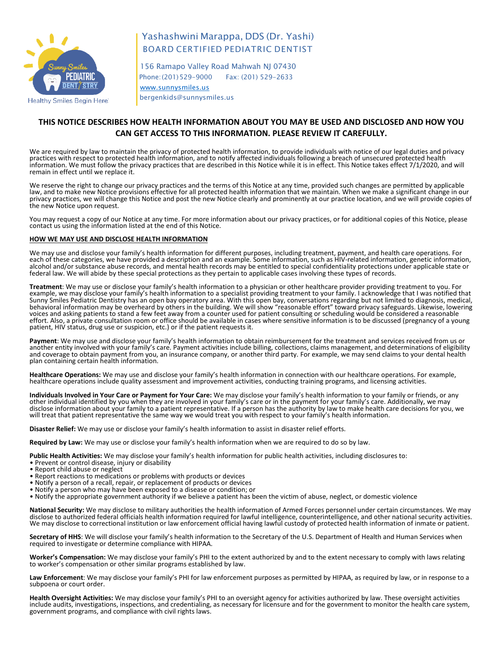

# Yashashwini Marappa, DDS (Dr. Yashi) BOARD CERTIFIED PEDIATRIC DENTIST

 156 Ramapo Valley Road Mahwah NJ 07430 Phone:(201)529-9000 Fax: (201) 529-2633 [www.sunnysmiles.us](http://www.sunnysmiles.us/)

bergenkids@sunnysmiles.us

## **THIS NOTICE DESCRIBES HOW HEALTH INFORMATION ABOUT YOU MAY BE USED AND DISCLOSED AND HOW YOU CAN GET ACCESS TO THIS INFORMATION. PLEASE REVIEW IT CAREFULLY.**

We are required by law to maintain the privacy of protected health information, to provide individuals with notice of our legal duties and privacy practices with respect to protected health information, and to notify affected individuals following a breach of unsecured protected health information. We must follow the privacy practices that are described in this Notice while it is in effect. This Notice takes effect 7/1/2020, and will remain in effect until we replace it.

We reserve the right to change our privacy practices and the terms of this Notice at any time, provided such changes are permitted by applicable law, and to make new Notice provisions effective for all protected health information that we maintain. When we make a significant change in our privacy practices, we will change this Notice and post the new Notice clearly and prominently at our practice location, and we will provide copies of the new Notice upon request.

You may request a copy of our Notice at any time. For more information about our privacy practices, or for additional copies of this Notice, please contact us using the information listed at the end of this Notice.

### **HOW WE MAY USE AND DISCLOSE HEALTH INFORMATION**

We may use and disclose your family's health information for different purposes, including treatment, payment, and health care operations. For each of these categories, we have provided a description and an example. Some information, such as HIV-related information, genetic information, alcohol and/or substance abuse records, and mental health records may be entitled to special confidentiality protections under applicable state or federal law. We will abide by these special protections as they pertain to applicable cases involving these types of records.

**Treatment**: We may use or disclose your family's health information to a physician or other healthcare provider providing treatment to you. For example, we may disclose your family's health information to a specialist providing treatment to your family. I acknowledge that I was notified that Sunny Smiles Pediatric Dentistry has an open bay operatory area. With this open bay, conversations regarding but not limited to diagnosis, medical, behavioral information may be overheard by others in the building. We will show "reasonable effort" toward privacy safeguards. Likewise, lowering voices and asking patients to stand a few feet away from a counter used for patient consulting or scheduling would be considered a reasonable effort. Also, a private consultation room or office should be available in cases where sensitive information is to be discussed (pregnancy of a young patient, HIV status, drug use or suspicion, etc.) or if the patient requests it.

Payment: We may use and disclose your family's health information to obtain reimbursement for the treatment and services received from us or another entity involved with your family's care. Payment activities include billi and coverage to obtain payment from you, an insurance company, or another third party. For example, we may send claims to your dental health plan containing certain health information.

**Healthcare Operations:** We may use and disclose your family's health information in connection with our healthcare operations. For example, healthcare operations include quality assessment and improvement activities, conducting training programs, and licensing activities.

**Individuals Involved in Your Care or Payment for Your Care:** We may disclose your family's health information to your family or friends, or any other individual identified by you when they are involved in your family's care or in the payment for your family's care. Additionally, we may disclose information about your family to a patient representative. If a person has the authority by law to make health care decisions for you, we will treat that patient representative the same way we would treat you with respect to your family's health information.

**Disaster Relief:** We may use or disclose your family's health information to assist in disaster relief efforts.

**Required by Law:** We may use or disclose your family's health information when we are required to do so by law.

**Public Health Activities:** We may disclose your family's health information for public health activities, including disclosures to: • Prevent or control disease, injury or disability

- 
- Report child abuse or neglect
- Report reactions to medications or problems with products or devices
- Notify a person of a recall, repair, or replacement of products or devices
- Notify a person who may have been exposed to a disease or condition; or
- Notify the appropriate government authority if we believe a patient has been the victim of abuse, neglect, or domestic violence

**National Security:** We may disclose to military authorities the health information of Armed Forces personnel under certain circumstances. We may disclose to authorized federal officials health information required for lawful intelligence, counterintelligence, and other national security activities. We may disclose to correctional institution or law enforcement official having lawful custody of protected health information of inmate or patient.

**Secretary of HHS**: We will disclose your family's health information to the Secretary of the U.S. Department of Health and Human Services when required to investigate or determine compliance with HIPAA.

**Worker's Compensation:** We may disclose your family's PHI to the extent authorized by and to the extent necessary to comply with laws relating to worker's compensation or other similar programs established by law.

Law Enforcement: We may disclose your family's PHI for law enforcement purposes as permitted by HIPAA, as required by law, or in response to a subpoena or court order.

**Health Oversight Activities:** We may disclose your family's PHI to an oversight agency for activities authorized by law. These oversight activities include audits, investigations, inspections, and credentialing, as necessary for licensure and for the government to monitor the health care system, government programs, and compliance with civil rights laws.